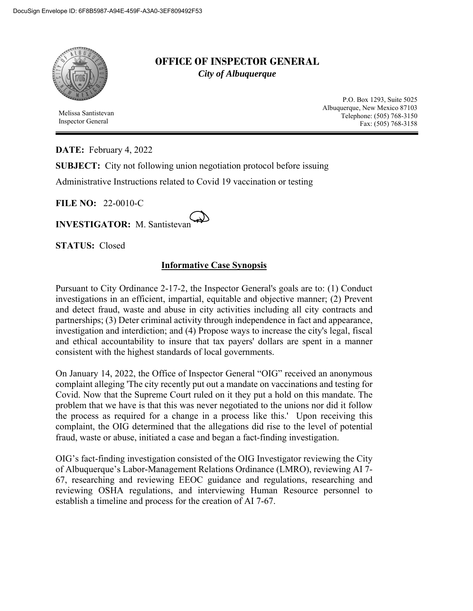

 Melissa Santistevan Inspector General

## **OFFICE OF INSPECTOR GENERAL**  *City of Albuquerque*

P.O. Box 1293, Suite 5025 Albuquerque, New Mexico 87103 Telephone: (505) 768-3150 Fax: (505) 768-3158

**DATE:** February 4, 2022

**SUBJECT:** City not following union negotiation protocol before issuing

Administrative Instructions related to Covid 19 vaccination or testing

**FILE NO:** 22-0010-C

**INVESTIGATOR:** M. Santistevan

**STATUS:** Closed

## **Informative Case Synopsis**

Pursuant to City Ordinance 2-17-2, the Inspector General's goals are to: (1) Conduct investigations in an efficient, impartial, equitable and objective manner; (2) Prevent and detect fraud, waste and abuse in city activities including all city contracts and partnerships; (3) Deter criminal activity through independence in fact and appearance, investigation and interdiction; and (4) Propose ways to increase the city's legal, fiscal and ethical accountability to insure that tax payers' dollars are spent in a manner consistent with the highest standards of local governments.

On January 14, 2022, the Office of Inspector General "OIG" received an anonymous complaint alleging 'The city recently put out a mandate on vaccinations and testing for Covid. Now that the Supreme Court ruled on it they put a hold on this mandate. The problem that we have is that this was never negotiated to the unions nor did it follow the process as required for a change in a process like this.' Upon receiving this complaint, the OIG determined that the allegations did rise to the level of potential fraud, waste or abuse, initiated a case and began a fact-finding investigation.

OIG's fact-finding investigation consisted of the OIG Investigator reviewing the City of Albuquerque's Labor-Management Relations Ordinance (LMRO), reviewing AI 7- 67, researching and reviewing EEOC guidance and regulations, researching and reviewing OSHA regulations, and interviewing Human Resource personnel to establish a timeline and process for the creation of AI 7-67.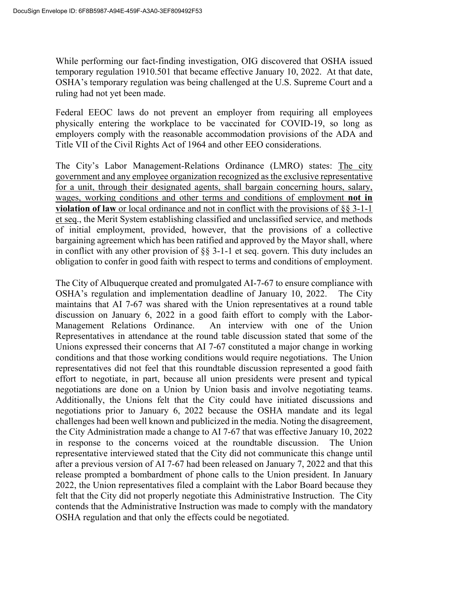While performing our fact-finding investigation, OIG discovered that OSHA issued temporary regulation 1910.501 that became effective January 10, 2022. At that date, OSHA's temporary regulation was being challenged at the U.S. Supreme Court and a ruling had not yet been made.

Federal EEOC laws do not prevent an employer from requiring all employees physically entering the workplace to be vaccinated for COVID-19, so long as employers comply with the reasonable accommodation provisions of the ADA and Title VII of the Civil Rights Act of 1964 and other EEO considerations.

The City's Labor Management-Relations Ordinance (LMRO) states: The city government and any employee organization recognized as the exclusive representative for a unit, through their designated agents, shall bargain concerning hours, salary, wages, working conditions and other terms and conditions of employment **not in violation of law** or local ordinance and not in conflict with the provisions of §§ 3-1-1 et seq., the Merit System establishing classified and unclassified service, and methods of initial employment, provided, however, that the provisions of a collective bargaining agreement which has been ratified and approved by the Mayor shall, where in conflict with any other provision of §§ 3-1-1 et seq. govern. This duty includes an obligation to confer in good faith with respect to terms and conditions of employment.

The City of Albuquerque created and promulgated AI-7-67 to ensure compliance with OSHA's regulation and implementation deadline of January 10, 2022. The City maintains that AI 7-67 was shared with the Union representatives at a round table discussion on January 6, 2022 in a good faith effort to comply with the Labor-Management Relations Ordinance. An interview with one of the Union Representatives in attendance at the round table discussion stated that some of the Unions expressed their concerns that AI 7-67 constituted a major change in working conditions and that those working conditions would require negotiations. The Union representatives did not feel that this roundtable discussion represented a good faith effort to negotiate, in part, because all union presidents were present and typical negotiations are done on a Union by Union basis and involve negotiating teams. Additionally, the Unions felt that the City could have initiated discussions and negotiations prior to January 6, 2022 because the OSHA mandate and its legal challenges had been well known and publicized in the media. Noting the disagreement, the City Administration made a change to AI 7-67 that was effective January 10, 2022 in response to the concerns voiced at the roundtable discussion. The Union representative interviewed stated that the City did not communicate this change until after a previous version of AI 7-67 had been released on January 7, 2022 and that this release prompted a bombardment of phone calls to the Union president. In January 2022, the Union representatives filed a complaint with the Labor Board because they felt that the City did not properly negotiate this Administrative Instruction. The City contends that the Administrative Instruction was made to comply with the mandatory OSHA regulation and that only the effects could be negotiated.